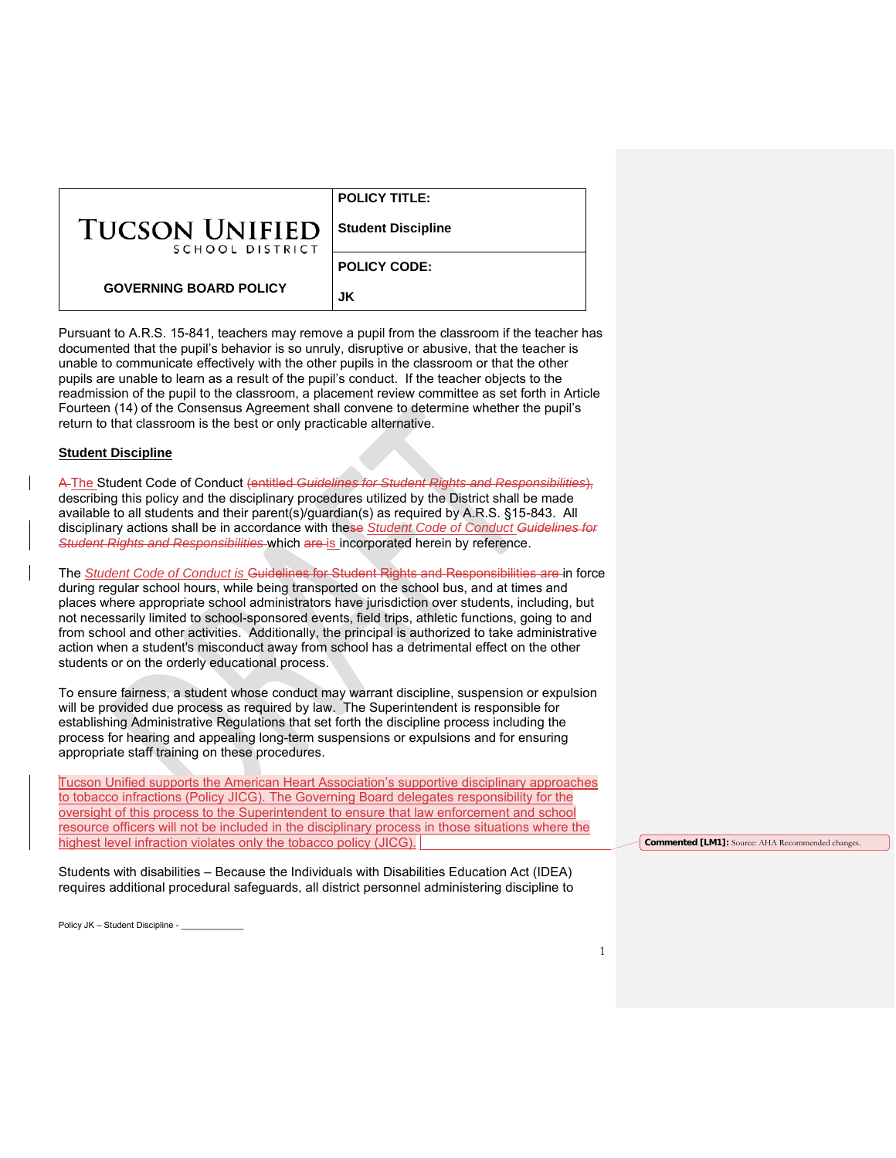|                                          | <b>POLICY TITLE:</b>      |
|------------------------------------------|---------------------------|
| <b>TUCSON UNIFIED</b><br>SCHOOL DISTRICT | <b>Student Discipline</b> |
|                                          | <b>POLICY CODE:</b>       |
| <b>GOVERNING BOARD POLICY</b>            |                           |

Pursuant to A.R.S. 15-841, teachers may remove a pupil from the classroom if the teacher has documented that the pupil's behavior is so unruly, disruptive or abusive, that the teacher is unable to communicate effectively with the other pupils in the classroom or that the other pupils are unable to learn as a result of the pupil's conduct. If the teacher objects to the readmission of the pupil to the classroom, a placement review committee as set forth in Article Fourteen (14) of the Consensus Agreement shall convene to determine whether the pupil's return to that classroom is the best or only practicable alternative.

**JK**

### **Student Discipline**

A The Student Code of Conduct (entitled *Guidelines for Student Rights and Responsibilities*), describing this policy and the disciplinary procedures utilized by the District shall be made available to all students and their parent(s)/guardian(s) as required by A.R.S. §15-843. All disciplinary actions shall be in accordance with these *Student Code of Conduct Guidelines for Student Rights and Responsibilities* which are is incorporated herein by reference.

The *Student Code of Conduct is* Guidelines for Student Rights and Responsibilities are in force during regular school hours, while being transported on the school bus, and at times and places where appropriate school administrators have jurisdiction over students, including, but not necessarily limited to school-sponsored events, field trips, athletic functions, going to and from school and other activities. Additionally, the principal is authorized to take administrative action when a student's misconduct away from school has a detrimental effect on the other students or on the orderly educational process.

To ensure fairness, a student whose conduct may warrant discipline, suspension or expulsion will be provided due process as required by law. The Superintendent is responsible for establishing Administrative Regulations that set forth the discipline process including the process for hearing and appealing long-term suspensions or expulsions and for ensuring appropriate staff training on these procedures.

Tucson Unified supports the American Heart Association's supportive disciplinary approaches to tobacco infractions (Policy JICG). The Governing Board delegates responsibility for the oversight of this process to the Superintendent to ensure that law enforcement and school resource officers will not be included in the disciplinary process in those situations where the highest level infraction violates only the tobacco policy (JICG).

Students with disabilities – Because the Individuals with Disabilities Education Act (IDEA) requires additional procedural safeguards, all district personnel administering discipline to **Commented [LM1]:** Source: AHA Recommended changes.

Policy JK – Student Discipline -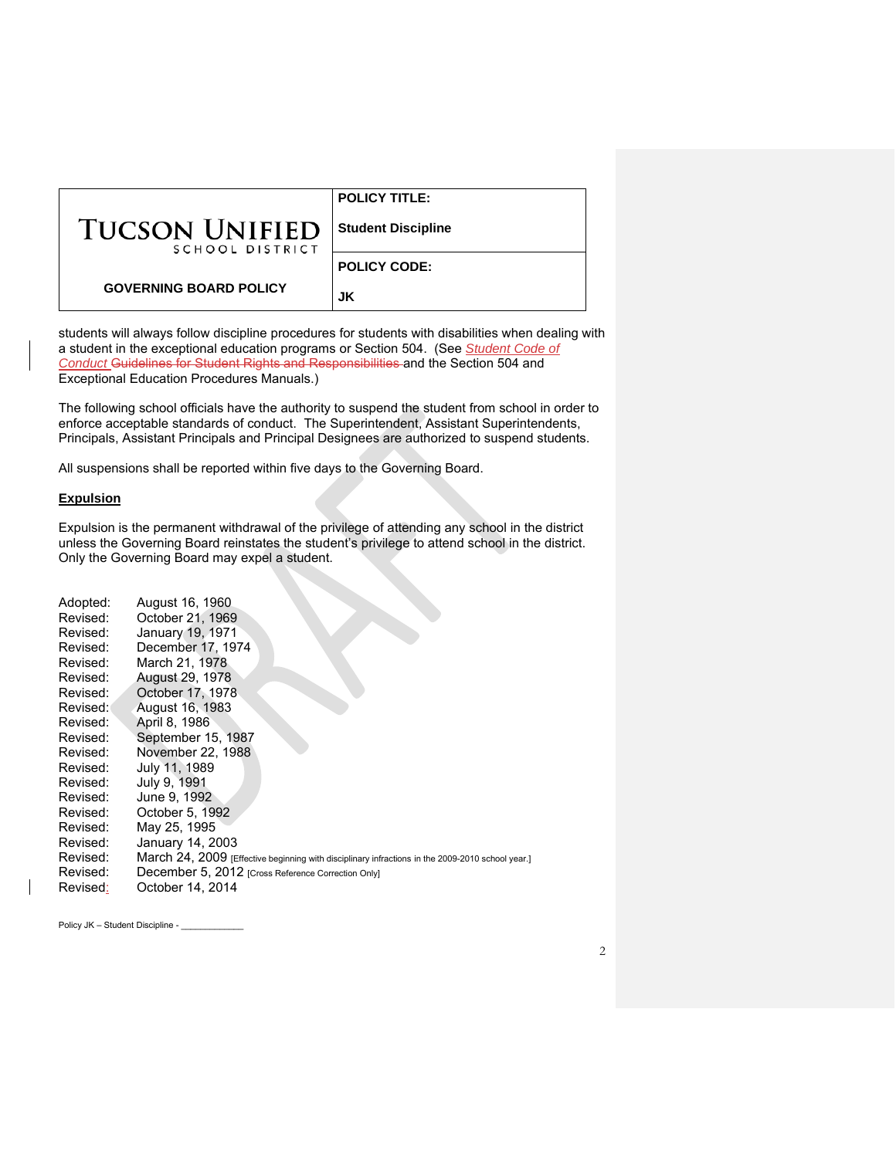|                                          | <b>POLICY TITLE:</b>      |
|------------------------------------------|---------------------------|
| <b>TUCSON UNIFIED</b><br>SCHOOL DISTRICT | <b>Student Discipline</b> |
|                                          | <b>POLICY CODE:</b>       |
| <b>GOVERNING BOARD POLICY</b>            | JK                        |

students will always follow discipline procedures for students with disabilities when dealing with a student in the exceptional education programs or Section 504. (See *Student Code of Conduct* Guidelines for Student Rights and Responsibilities and the Section 504 and Exceptional Education Procedures Manuals.)

The following school officials have the authority to suspend the student from school in order to enforce acceptable standards of conduct. The Superintendent, Assistant Superintendents, Principals, Assistant Principals and Principal Designees are authorized to suspend students.

All suspensions shall be reported within five days to the Governing Board.

### **Expulsion**

Expulsion is the permanent withdrawal of the privilege of attending any school in the district unless the Governing Board reinstates the student's privilege to attend school in the district. Only the Governing Board may expel a student.

| Adopted: | August 16, 1960                                                                                  |
|----------|--------------------------------------------------------------------------------------------------|
| Revised: | October 21, 1969                                                                                 |
| Revised: | January 19, 1971                                                                                 |
| Revised: | December 17, 1974                                                                                |
| Revised: | March 21, 1978                                                                                   |
| Revised: | August 29, 1978                                                                                  |
| Revised: | October 17, 1978                                                                                 |
| Revised: | August 16, 1983                                                                                  |
| Revised: | April 8, 1986                                                                                    |
| Revised: | September 15, 1987                                                                               |
| Revised: | November 22, 1988                                                                                |
| Revised: | July 11, 1989                                                                                    |
| Revised: | July 9, 1991                                                                                     |
| Revised: | June 9, 1992                                                                                     |
| Revised: | October 5, 1992                                                                                  |
| Revised: | May 25, 1995                                                                                     |
| Revised: | January 14, 2003                                                                                 |
| Revised: | March 24, 2009 [Effective beginning with disciplinary infractions in the 2009-2010 school year.] |
| Revised: | December 5, 2012 [Cross Reference Correction Only]                                               |
| Revised: | October 14, 2014                                                                                 |

Policy JK – Student Discipline - \_\_\_\_\_\_\_\_\_\_\_\_\_